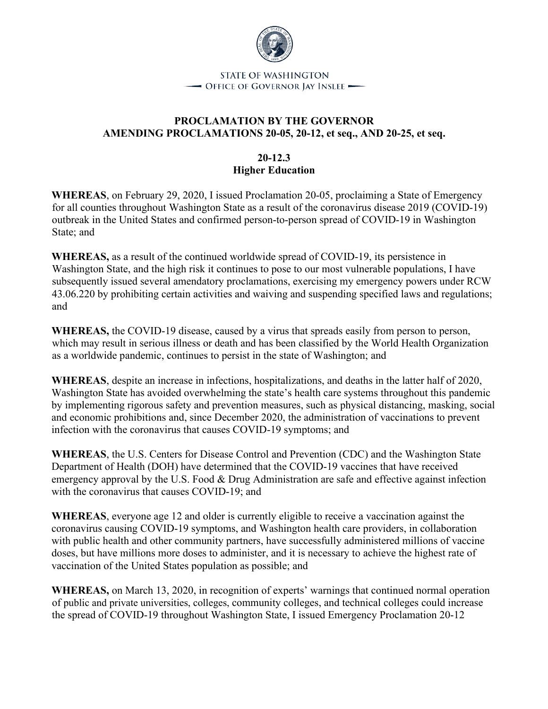

## **PROCLAMATION BY THE GOVERNOR AMENDING PROCLAMATIONS 20-05, 20-12, et seq., AND 20-25, et seq.**

### **20-12.3 Higher Education**

**WHEREAS**, on February 29, 2020, I issued Proclamation 20-05, proclaiming a State of Emergency for all counties throughout Washington State as a result of the coronavirus disease 2019 (COVID-19) outbreak in the United States and confirmed person-to-person spread of COVID-19 in Washington State; and

**WHEREAS,** as a result of the continued worldwide spread of COVID-19, its persistence in Washington State, and the high risk it continues to pose to our most vulnerable populations, I have subsequently issued several amendatory proclamations, exercising my emergency powers under RCW 43.06.220 by prohibiting certain activities and waiving and suspending specified laws and regulations; and

**WHEREAS,** the COVID-19 disease, caused by a virus that spreads easily from person to person, which may result in serious illness or death and has been classified by the World Health Organization as a worldwide pandemic, continues to persist in the state of Washington; and

**WHEREAS**, despite an increase in infections, hospitalizations, and deaths in the latter half of 2020, Washington State has avoided overwhelming the state's health care systems throughout this pandemic by implementing rigorous safety and prevention measures, such as physical distancing, masking, social and economic prohibitions and, since December 2020, the administration of vaccinations to prevent infection with the coronavirus that causes COVID-19 symptoms; and

**WHEREAS**, the U.S. Centers for Disease Control and Prevention (CDC) and the Washington State Department of Health (DOH) have determined that the COVID-19 vaccines that have received emergency approval by the U.S. Food & Drug Administration are safe and effective against infection with the coronavirus that causes COVID-19; and

**WHEREAS**, everyone age 12 and older is currently eligible to receive a vaccination against the coronavirus causing COVID-19 symptoms, and Washington health care providers, in collaboration with public health and other community partners, have successfully administered millions of vaccine doses, but have millions more doses to administer, and it is necessary to achieve the highest rate of vaccination of the United States population as possible; and

**WHEREAS,** on March 13, 2020, in recognition of experts' warnings that continued normal operation of public and private universities, colleges, community colleges, and technical colleges could increase the spread of COVID-19 throughout Washington State, I issued Emergency Proclamation 20-12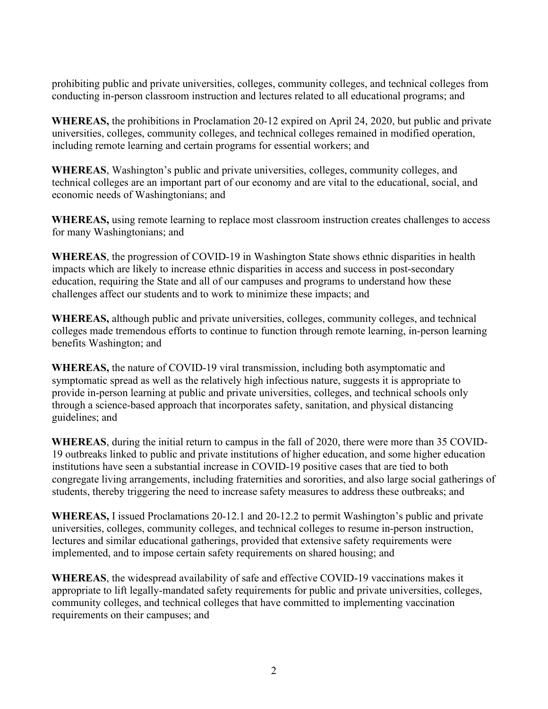prohibiting public and private universities, colleges, community colleges, and technical colleges from conducting in-person classroom instruction and lectures related to all educational programs; and

**WHEREAS,** the prohibitions in Proclamation 20-12 expired on April 24, 2020, but public and private universities, colleges, community colleges, and technical colleges remained in modified operation, including remote learning and certain programs for essential workers; and

**WHEREAS**, Washington's public and private universities, colleges, community colleges, and technical colleges are an important part of our economy and are vital to the educational, social, and economic needs of Washingtonians; and

**WHEREAS,** using remote learning to replace most classroom instruction creates challenges to access for many Washingtonians; and

**WHEREAS**, the progression of COVID-19 in Washington State shows ethnic disparities in health impacts which are likely to increase ethnic disparities in access and success in post-secondary education, requiring the State and all of our campuses and programs to understand how these challenges affect our students and to work to minimize these impacts; and

**WHEREAS,** although public and private universities, colleges, community colleges, and technical colleges made tremendous efforts to continue to function through remote learning, in-person learning benefits Washington; and

**WHEREAS,** the nature of COVID-19 viral transmission, including both asymptomatic and symptomatic spread as well as the relatively high infectious nature, suggests it is appropriate to provide in-person learning at public and private universities, colleges, and technical schools only through a science-based approach that incorporates safety, sanitation, and physical distancing guidelines; and

**WHEREAS**, during the initial return to campus in the fall of 2020, there were more than 35 COVID-19 outbreaks linked to public and private institutions of higher education, and some higher education institutions have seen a substantial increase in COVID-19 positive cases that are tied to both congregate living arrangements, including fraternities and sororities, and also large social gatherings of students, thereby triggering the need to increase safety measures to address these outbreaks; and

**WHEREAS,** I issued Proclamations 20-12.1 and 20-12.2 to permit Washington's public and private universities, colleges, community colleges, and technical colleges to resume in-person instruction, lectures and similar educational gatherings, provided that extensive safety requirements were implemented, and to impose certain safety requirements on shared housing; and

**WHEREAS**, the widespread availability of safe and effective COVID-19 vaccinations makes it appropriate to lift legally-mandated safety requirements for public and private universities, colleges, community colleges, and technical colleges that have committed to implementing vaccination requirements on their campuses; and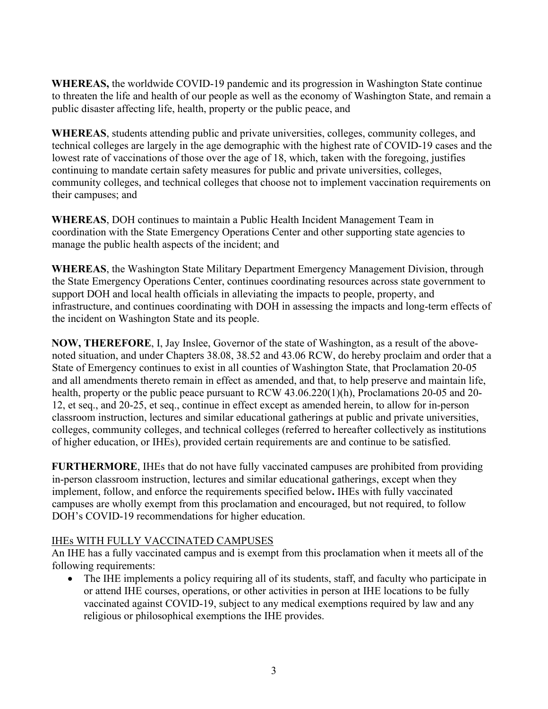**WHEREAS,** the worldwide COVID-19 pandemic and its progression in Washington State continue to threaten the life and health of our people as well as the economy of Washington State, and remain a public disaster affecting life, health, property or the public peace, and

**WHEREAS**, students attending public and private universities, colleges, community colleges, and technical colleges are largely in the age demographic with the highest rate of COVID-19 cases and the lowest rate of vaccinations of those over the age of 18, which, taken with the foregoing, justifies continuing to mandate certain safety measures for public and private universities, colleges, community colleges, and technical colleges that choose not to implement vaccination requirements on their campuses; and

**WHEREAS**, DOH continues to maintain a Public Health Incident Management Team in coordination with the State Emergency Operations Center and other supporting state agencies to manage the public health aspects of the incident; and

**WHEREAS**, the Washington State Military Department Emergency Management Division, through the State Emergency Operations Center, continues coordinating resources across state government to support DOH and local health officials in alleviating the impacts to people, property, and infrastructure, and continues coordinating with DOH in assessing the impacts and long-term effects of the incident on Washington State and its people.

**NOW, THEREFORE**, I, Jay Inslee, Governor of the state of Washington, as a result of the abovenoted situation, and under Chapters 38.08, 38.52 and 43.06 RCW, do hereby proclaim and order that a State of Emergency continues to exist in all counties of Washington State, that Proclamation 20-05 and all amendments thereto remain in effect as amended, and that, to help preserve and maintain life, health, property or the public peace pursuant to RCW 43.06.220(1)(h), Proclamations 20-05 and 20-12, et seq., and 20-25, et seq., continue in effect except as amended herein, to allow for in-person classroom instruction, lectures and similar educational gatherings at public and private universities, colleges, community colleges, and technical colleges (referred to hereafter collectively as institutions of higher education, or IHEs), provided certain requirements are and continue to be satisfied.

**FURTHERMORE**, IHEs that do not have fully vaccinated campuses are prohibited from providing in-person classroom instruction, lectures and similar educational gatherings, except when they implement, follow, and enforce the requirements specified below**.** IHEs with fully vaccinated campuses are wholly exempt from this proclamation and encouraged, but not required, to follow DOH's COVID-19 recommendations for higher education.

### IHEs WITH FULLY VACCINATED CAMPUSES

An IHE has a fully vaccinated campus and is exempt from this proclamation when it meets all of the following requirements:

• The IHE implements a policy requiring all of its students, staff, and faculty who participate in or attend IHE courses, operations, or other activities in person at IHE locations to be fully vaccinated against COVID-19, subject to any medical exemptions required by law and any religious or philosophical exemptions the IHE provides.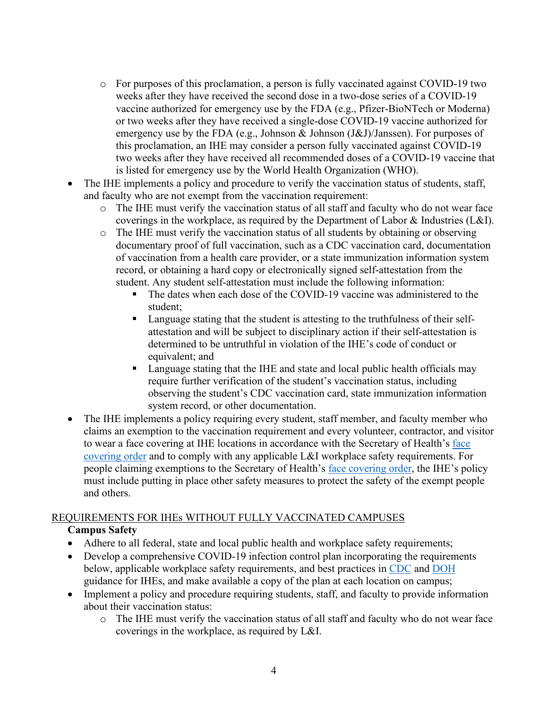- o For purposes of this proclamation, a person is fully vaccinated against COVID-19 two weeks after they have received the second dose in a two-dose series of a COVID-19 vaccine authorized for emergency use by the FDA (e.g., Pfizer-BioNTech or Moderna) or two weeks after they have received a single-dose COVID-19 vaccine authorized for emergency use by the FDA (e.g., Johnson & Johnson (J&J)/Janssen). For purposes of this proclamation, an IHE may consider a person fully vaccinated against COVID-19 two weeks after they have received all recommended doses of a COVID-19 vaccine that is listed for emergency use by the World Health Organization (WHO).
- The IHE implements a policy and procedure to verify the vaccination status of students, staff, and faculty who are not exempt from the vaccination requirement:
	- o The IHE must verify the vaccination status of all staff and faculty who do not wear face coverings in the workplace, as required by the Department of Labor & Industries (L&I).
	- o The IHE must verify the vaccination status of all students by obtaining or observing documentary proof of full vaccination, such as a CDC vaccination card, documentation of vaccination from a health care provider, or a state immunization information system record, or obtaining a hard copy or electronically signed self-attestation from the student. Any student self-attestation must include the following information:
		- The dates when each dose of the COVID-19 vaccine was administered to the student;
		- **Language stating that the student is attesting to the truthfulness of their self**attestation and will be subject to disciplinary action if their self-attestation is determined to be untruthful in violation of the IHE's code of conduct or equivalent; and
		- Language stating that the IHE and state and local public health officials may require further verification of the student's vaccination status, including observing the student's CDC vaccination card, state immunization information system record, or other documentation.
- The IHE implements a policy requiring every student, staff member, and faculty member who claims an exemption to the vaccination requirement and every volunteer, contractor, and visitor to wear a face covering at IHE locations in accordance with the Secretary of Health's [face](https://www.doh.wa.gov/Portals/1/Documents/1600/coronavirus/Secretary_of_Health_Order_20-03_Statewide_Face_Coverings.pdf)  [covering order](https://www.doh.wa.gov/Portals/1/Documents/1600/coronavirus/Secretary_of_Health_Order_20-03_Statewide_Face_Coverings.pdf) and to comply with any applicable L&I workplace safety requirements. For people claiming exemptions to the Secretary of Health's [face covering order,](https://www.doh.wa.gov/Portals/1/Documents/1600/coronavirus/Secretary_of_Health_Order_20-03_Statewide_Face_Coverings.pdf) the IHE's policy must include putting in place other safety measures to protect the safety of the exempt people and others.

### REQUIREMENTS FOR IHEs WITHOUT FULLY VACCINATED CAMPUSES

# **Campus Safety**

- Adhere to all federal, state and local public health and workplace safety requirements;
- Develop a comprehensive COVID-19 infection control plan incorporating the requirements below, applicable workplace safety requirements, and best practices in [CDC](https://www.cdc.gov/coronavirus/2019-ncov/community/colleges-universities/index.html) and [DOH](https://www.doh.wa.gov/Emergencies/COVID19/ResourcesandRecommendations#schools) guidance for IHEs, and make available a copy of the plan at each location on campus;
- Implement a policy and procedure requiring students, staff, and faculty to provide information about their vaccination status:
	- o The IHE must verify the vaccination status of all staff and faculty who do not wear face coverings in the workplace, as required by L&I.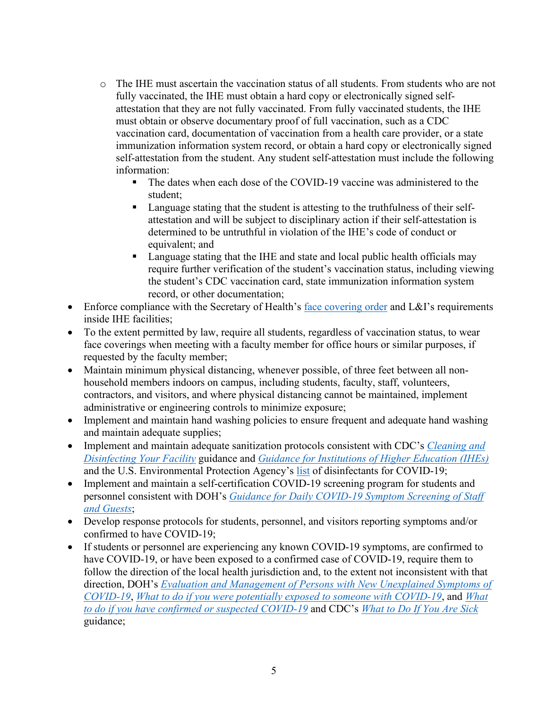- o The IHE must ascertain the vaccination status of all students. From students who are not fully vaccinated, the IHE must obtain a hard copy or electronically signed selfattestation that they are not fully vaccinated. From fully vaccinated students, the IHE must obtain or observe documentary proof of full vaccination, such as a CDC vaccination card, documentation of vaccination from a health care provider, or a state immunization information system record, or obtain a hard copy or electronically signed self-attestation from the student. Any student self-attestation must include the following information:
	- The dates when each dose of the COVID-19 vaccine was administered to the student;
	- **Language stating that the student is attesting to the truthfulness of their self**attestation and will be subject to disciplinary action if their self-attestation is determined to be untruthful in violation of the IHE's code of conduct or equivalent; and
	- **Language stating that the IHE and state and local public health officials may** require further verification of the student's vaccination status, including viewing the student's CDC vaccination card, state immunization information system record, or other documentation;
- Enforce compliance with the Secretary of Health's [face covering order](https://www.doh.wa.gov/Portals/1/Documents/1600/coronavirus/Secretary_of_Health_Order_20-03_Statewide_Face_Coverings.pdf) and L&I's requirements inside IHE facilities;
- To the extent permitted by law, require all students, regardless of vaccination status, to wear face coverings when meeting with a faculty member for office hours or similar purposes, if requested by the faculty member;
- Maintain minimum physical distancing, whenever possible, of three feet between all nonhousehold members indoors on campus, including students, faculty, staff, volunteers, contractors, and visitors, and where physical distancing cannot be maintained, implement administrative or engineering controls to minimize exposure;
- Implement and maintain hand washing policies to ensure frequent and adequate hand washing and maintain adequate supplies;
- Implement and maintain adequate sanitization protocols consistent with CDC's *[Cleaning and](https://www.cdc.gov/coronavirus/2019-ncov/community/disinfecting-building-facility.html)  [Disinfecting Your Facility](https://www.cdc.gov/coronavirus/2019-ncov/community/disinfecting-building-facility.html)* guidance and *[Guidance for Institutions of Higher Education \(IHEs\)](https://www.cdc.gov/coronavirus/2019-ncov/community/colleges-universities/considerations.html#section4)* and the U.S. Environmental Protection Agency's [list](https://www.epa.gov/coronavirus/about-list-n-disinfectants-coronavirus-covid-19-0) of disinfectants for COVID-19;
- Implement and maintain a self-certification COVID-19 screening program for students and personnel consistent with DOH's *[Guidance for Daily COVID-19 Symptom Screening of Staff](https://www.doh.wa.gov/Portals/1/Documents/1600/coronavirus/Employervisitorscreeningguidance.pdf)  [and Guests](https://www.doh.wa.gov/Portals/1/Documents/1600/coronavirus/Employervisitorscreeningguidance.pdf)*;
- Develop response protocols for students, personnel, and visitors reporting symptoms and/or confirmed to have COVID-19;
- If students or personnel are experiencing any known COVID-19 symptoms, are confirmed to have COVID-19, or have been exposed to a confirmed case of COVID-19, require them to follow the direction of the local health jurisdiction and, to the extent not inconsistent with that direction, DOH's *[Evaluation and Management of Persons with New Unexplained Symptoms of](https://www.doh.wa.gov/Portals/1/Documents/1600/coronavirus/420-287-COVID-19SymptomEvalMgmtFlowChart.pdf)  [COVID-19](https://www.doh.wa.gov/Portals/1/Documents/1600/coronavirus/420-287-COVID-19SymptomEvalMgmtFlowChart.pdf)*, *[What to do if you were potentially exposed to someone with COVID-19](https://www.doh.wa.gov/Portals/1/Documents/1600/coronavirus/COVIDexposed.pdf)*, and *[What](https://www.doh.wa.gov/Portals/1/Documents/1600/coronavirus/COVIDcasepositive.pdf)  [to do if you have confirmed or suspected COVID-19](https://www.doh.wa.gov/Portals/1/Documents/1600/coronavirus/COVIDcasepositive.pdf)* and CDC's *[What to Do If You Are Sick](https://www.cdc.gov/coronavirus/2019-ncov/if-you-are-sick/steps-when-sick.html)* guidance;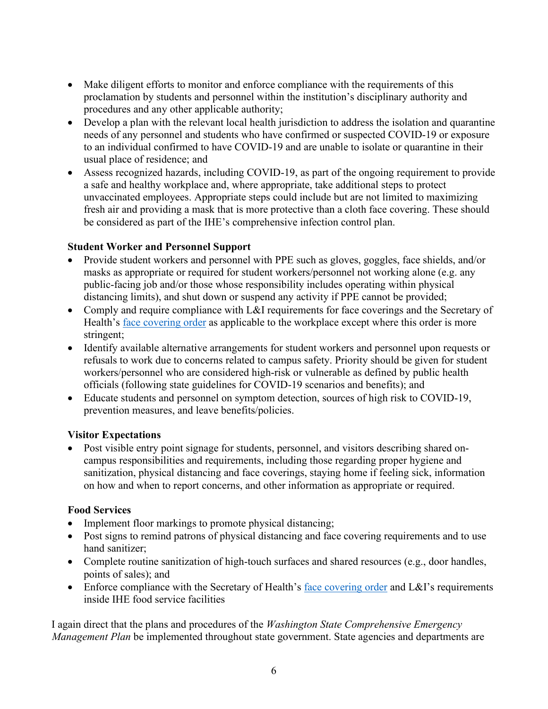- Make diligent efforts to monitor and enforce compliance with the requirements of this proclamation by students and personnel within the institution's disciplinary authority and procedures and any other applicable authority;
- Develop a plan with the relevant local health jurisdiction to address the isolation and quarantine needs of any personnel and students who have confirmed or suspected COVID-19 or exposure to an individual confirmed to have COVID-19 and are unable to isolate or quarantine in their usual place of residence; and
- Assess recognized hazards, including COVID-19, as part of the ongoing requirement to provide a safe and healthy workplace and, where appropriate, take additional steps to protect unvaccinated employees. Appropriate steps could include but are not limited to maximizing fresh air and providing a mask that is more protective than a cloth face covering. These should be considered as part of the IHE's comprehensive infection control plan.

## **Student Worker and Personnel Support**

- Provide student workers and personnel with PPE such as gloves, goggles, face shields, and/or masks as appropriate or required for student workers/personnel not working alone (e.g. any public-facing job and/or those whose responsibility includes operating within physical distancing limits), and shut down or suspend any activity if PPE cannot be provided;
- Comply and require compliance with L&I requirements for face coverings and the Secretary of Health's face covering order as applicable to the workplace except where this order is more stringent;
- Identify available alternative arrangements for student workers and personnel upon requests or refusals to work due to concerns related to campus safety. Priority should be given for student workers/personnel who are considered high-risk or vulnerable as defined by public health officials (following state guidelines for COVID-19 scenarios and benefits); and
- Educate students and personnel on symptom detection, sources of high risk to COVID-19, prevention measures, and leave benefits/policies.

### **Visitor Expectations**

• Post visible entry point signage for students, personnel, and visitors describing shared oncampus responsibilities and requirements, including those regarding proper hygiene and sanitization, physical distancing and face coverings, staying home if feeling sick, information on how and when to report concerns, and other information as appropriate or required.

### **Food Services**

- Implement floor markings to promote physical distancing;
- Post signs to remind patrons of physical distancing and face covering requirements and to use hand sanitizer;
- Complete routine sanitization of high-touch surfaces and shared resources (e.g., door handles, points of sales); and
- Enforce compliance with the Secretary of Health's [face covering order](https://www.doh.wa.gov/Portals/1/Documents/1600/coronavirus/Secretary_of_Health_Order_20-03_Statewide_Face_Coverings.pdf) and L&I's requirements inside IHE food service facilities

I again direct that the plans and procedures of the *Washington State Comprehensive Emergency Management Plan* be implemented throughout state government. State agencies and departments are